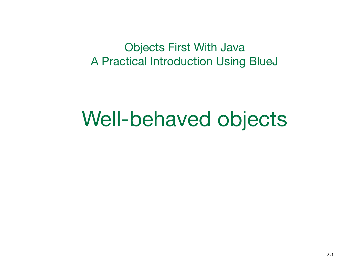Objects First With Java A Practical Introduction Using BlueJ

#### Well-behaved objects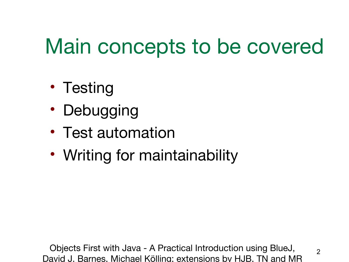## Main concepts to be covered

- Testing
- Debugging
- Test automation
- Writing for maintainability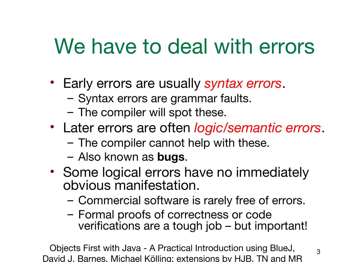### We have to deal with errors

- Early errors are usually *syntax errors*.
	- Syntax errors are grammar faults.
	- The compiler will spot these.
- Later errors are often *logic/semantic errors*.
	- The compiler cannot help with these.
	- Also known as **bugs**.
- Some logical errors have no immediately obvious manifestation.
	- Commercial software is rarely free of errors.
	- Formal proofs of correctness or code verifications are a tough job – but important!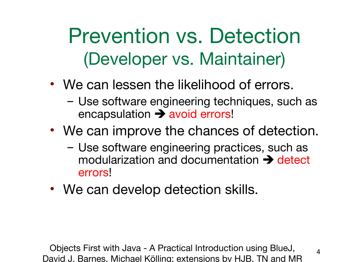Prevention vs. Detection (Developer vs. Maintainer)

- We can lessen the likelihood of errors.
	- Use software engineering techniques, such as  $encapsulation \rightarrow avoid errors!$
- We can improve the chances of detection.
	- Use software engineering practices, such as modularization and documentation  $\rightarrow$  detect errors!
- We can develop detection skills.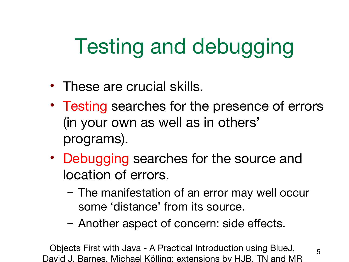# Testing and debugging

- These are crucial skills.
- Testing searches for the presence of errors (in your own as well as in others' programs).
- Debugging searches for the source and location of errors.
	- The manifestation of an error may well occur some 'distance' from its source.
	- Another aspect of concern: side effects.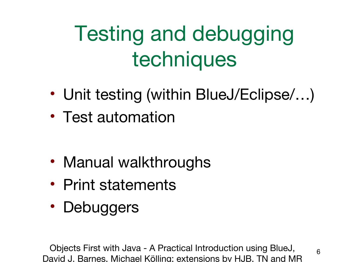# Testing and debugging techniques

- Unit testing (within BlueJ/Eclipse/...)
- Test automation

- Manual walkthroughs
- Print statements
- Debuggers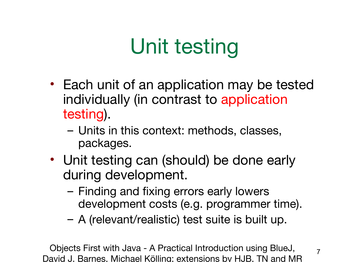# Unit testing

- Each unit of an application may be tested individually (in contrast to application testing).
	- Units in this context: methods, classes, packages.
- Unit testing can (should) be done early during development.
	- Finding and fixing errors early lowers development costs (e.g. programmer time).
	- A (relevant/realistic) test suite is built up.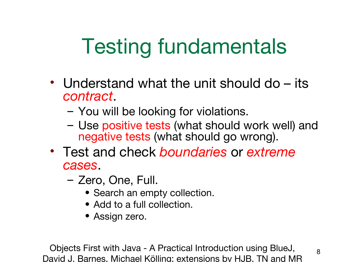# Testing fundamentals

- Understand what the unit should do its *contract*.
	- You will be looking for violations.
	- Use positive tests (what should work well) and negative tests (what should go wrong).
- Test and check *boundaries* or *extreme cases*.
	- Zero, One, Full.
		- Search an empty collection.
		- Add to a full collection.
		- Assign zero.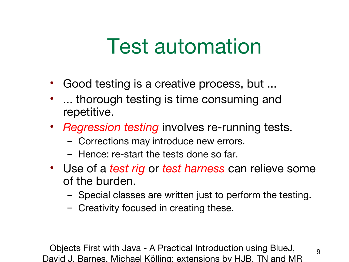### Test automation

- Good testing is a creative process, but ...
- ... thorough testing is time consuming and repetitive.
- *Regression testing* involves re-running tests.
	- Corrections may introduce new errors.
	- Hence: re-start the tests done so far.
- Use of a *test rig* or *test harness* can relieve some of the burden.
	- Special classes are written just to perform the testing.

9

– Creativity focused in creating these.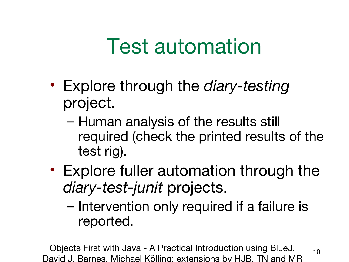## Test automation

- Explore through the *diary-testing* project.
	- Human analysis of the results still required (check the printed results of the test rig).
- Explore fuller automation through the *diary-test-junit* projects.
	- Intervention only required if a failure is reported.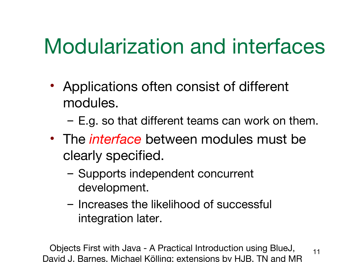## Modularization and interfaces

- Applications often consist of different modules.
	- E.g. so that different teams can work on them.
- The *interface* between modules must be clearly specified.
	- Supports independent concurrent development.
	- Increases the likelihood of successful integration later.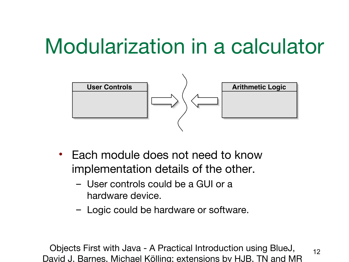### Modularization in a calculator



- Each module does not need to know implementation details of the other.
	- User controls could be a GUI or a hardware device.
	- Logic could be hardware or software.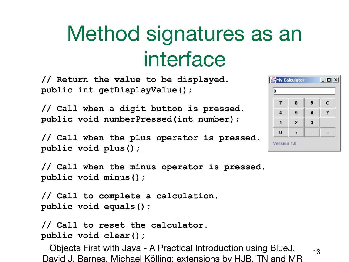## Method signatures as an interface

**// Return the value to be displayed. public int getDisplayValue();**

**// Call when a digit button is pressed. public void numberPressed(int number);**

**// Call when the plus operator is pressed. public void plus();**

**// Call when the minus operator is pressed. public void minus();**

**// Call to complete a calculation. public void equals();**

**// Call to reset the calculator. public void clear();**

|             | My Calculator | $ \Box$ $\times$ |   |   |  |
|-------------|---------------|------------------|---|---|--|
|             | þ             |                  |   |   |  |
|             | 7             | 8                | 9 | C |  |
|             | 4             | 5                | 6 |   |  |
|             |               | $\overline{2}$   | 3 |   |  |
|             | $\bf{0}$      |                  |   |   |  |
| Version 1.0 |               |                  |   |   |  |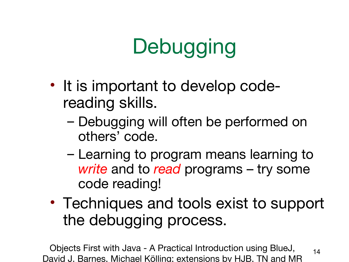# **Debugging**

- It is important to develop codereading skills.
	- Debugging will often be performed on others' code.
	- Learning to program means learning to *write* and to *read* programs – try some code reading!
- Techniques and tools exist to support the debugging process.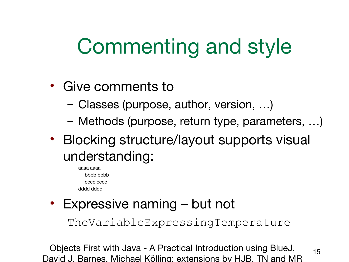## Commenting and style

- Give comments to
	- Classes (purpose, author, version, …)
	- Methods (purpose, return type, parameters, …)
- Blocking structure/layout supports visual understanding:
	- aaaa aaaa bbbb bbbb cccc cccc dddd dddd
- Expressive naming but not

TheVariableExpressingTemperature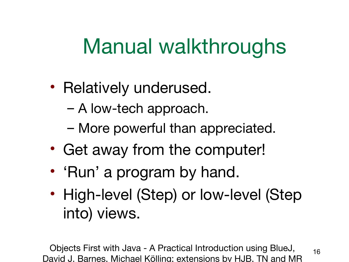### Manual walkthroughs

- Relatively underused.
	- A low-tech approach.
	- More powerful than appreciated.
- Get away from the computer!
- 'Run' a program by hand.
- High-level (Step) or low-level (Step into) views.

Objects First with Java - A Practical Introduction using BlueJ, David J. Barnes, Michael Kölling; extensions by HJB, TN and MR

16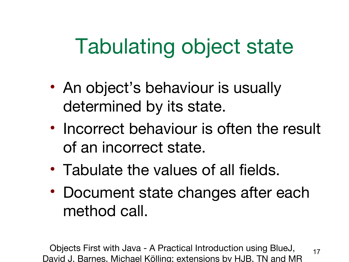## Tabulating object state

- An object's behaviour is usually determined by its state.
- Incorrect behaviour is often the result of an incorrect state.
- Tabulate the values of all fields.
- Document state changes after each method call.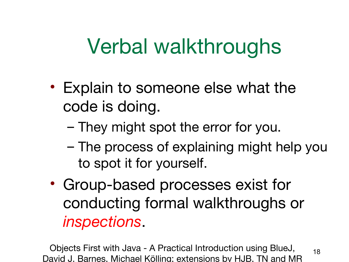### Verbal walkthroughs

- Explain to someone else what the code is doing.
	- They might spot the error for you.
	- The process of explaining might help you to spot it for yourself.

18

• Group-based processes exist for conducting formal walkthroughs or *inspections*.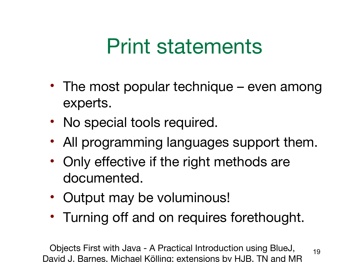### Print statements

- The most popular technique even among experts.
- No special tools required.
- All programming languages support them.
- Only effective if the right methods are documented.
- Output may be voluminous!
- Turning off and on requires forethought.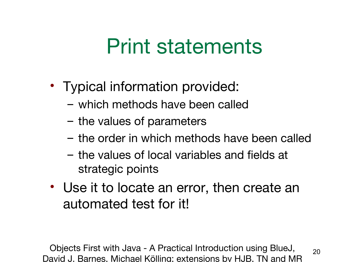### Print statements

- Typical information provided:
	- which methods have been called
	- the values of parameters
	- the order in which methods have been called
	- the values of local variables and fields at strategic points
- Use it to locate an error, then create an automated test for it!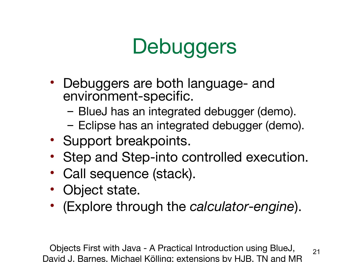# **Debuggers**

- Debuggers are both language- and environment-specific.
	- BlueJ has an integrated debugger (demo).
	- Eclipse has an integrated debugger (demo).
- Support breakpoints.
- Step and Step-into controlled execution.
- Call sequence (stack).
- Object state.
- (Explore through the *calculator-engine*).

Objects First with Java - A Practical Introduction using BlueJ, David J. Barnes, Michael Kölling; extensions by HJB, TN and MR

21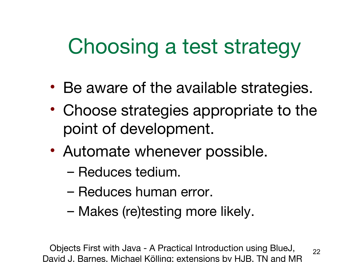### Choosing a test strategy

- Be aware of the available strategies.
- Choose strategies appropriate to the point of development.
- Automate whenever possible.
	- Reduces tedium.
	- Reduces human error.
	- Makes (re)testing more likely.